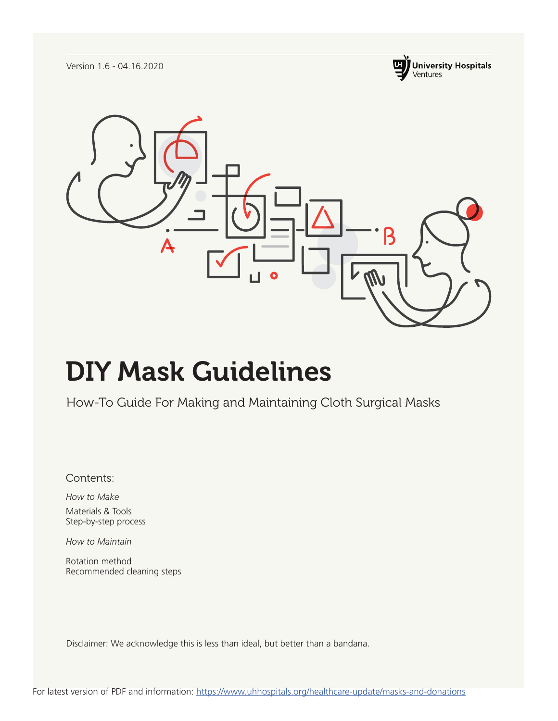Version 1.6 - 04.16.2020





# DIY Mask Guidelines

How-To Guide For Making and Maintaining Cloth Surgical Masks

Contents:

*How to Make* Materials & Tools Step-by-step process

*How to Maintain*

Rotation method Recommended cleaning steps

Disclaimer: We acknowledge this is less than ideal, but better than a bandana.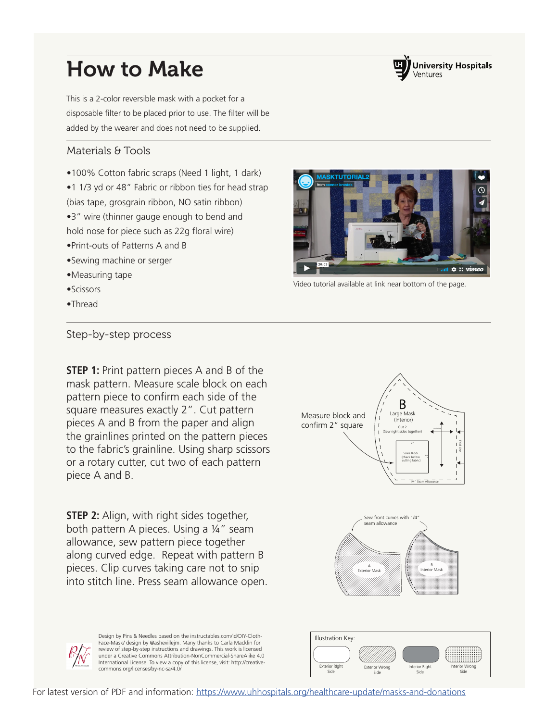# How to Make

This is a 2-color reversible mask with a pocket for a disposable filter to be placed prior to use. The filter will be added by the wearer and does not need to be supplied.

#### Materials & Tools

•100% Cotton fabric scraps (Need 1 light, 1 dark)

•1 1/3 yd or 48" Fabric or ribbon ties for head strap

(bias tape, grosgrain ribbon, NO satin ribbon)

- •3" wire (thinner gauge enough to bend and
- hold nose for piece such as 22g floral wire)
- •Print-outs of Patterns A and B
- •Sewing machine or serger
- •Measuring tape
- •Scissors
- •Thread

### Step-by-step process

**STEP 1:** Print pattern pieces A and B of the mask pattern. Measure scale block on each pattern piece to confirm each side of the square measures exactly 2". Cut pattern pieces A and B from the paper and align the grainlines printed on the pattern pieces to the fabric's grainline. Using sharp scissors or a rotary cutter, cut two of each pattern piece A and B.

**STEP 2:** Align, with right sides together, both pattern A pieces. Using a ¼" seam allowance, sew pattern piece together along curved edge. Repeat with pattern B pieces. Clip curves taking care not to snip into stitch line. Press seam allowance open.

Large Mask (Interior)  $\epsilon$ 62 (Sew right sides together) Scale Block (check before cutting fabric) 2" 2" Fold Line B Grainline Measure block and confirm 2" square

1/4" Seam Allowance





Design by Pins & Needles based on the instructables.com/id/DIY-Cloth-Face-Mask/ design by @ashevillejm. Many thanks to Carla Macklin for review of step-by-step instructions and drawings. This work is licensed under a Creative Commons Attribution-NonCommercial-ShareAlike 4.0 International License. To view a copy of this license, visit: http://creative-



**ASKTUTORIAL** 



commons.org/licenses/by-nc-sa/4.0/ Exterior Right Commons.org/licenses/by-nc-sa/4.0/ Side Interior RIght Side Interior Wrong Side Exterior Wrong Side

Illustration Key: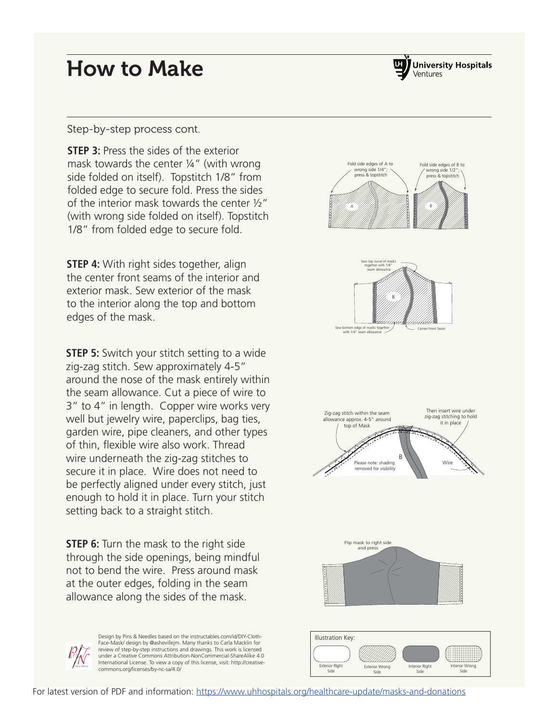### How to Make



#### Step-by-step process cont.

**STEP 3:** Press the sides of the exterior mask towards the center ¼" (with wrong side folded on itself). Topstitch 1/8" from folded edge to secure fold. Press the sides of the interior mask towards the center ½" (with wrong side folded on itself). Topstitch 1/8" from folded edge to secure fold.

**STEP 4:** With right sides together, align the center front seams of the interior and exterior mask. Sew exterior of the mask to the interior along the top and bottom edges of the mask.

**STEP 5:** Switch your stitch setting to a wide zig-zag stitch. Sew approximately 4-5" around the nose of the mask entirely within the seam allowance. Cut a piece of wire to 3" to 4" in length. Copper wire works very well but jewelry wire, paperclips, bag ties, garden wire, pipe cleaners, and other types of thin, flexible wire also work. Thread wire underneath the zig-zag stitches to secure it in place. Wire does not need to be perfectly aligned under every stitch, just enough to hold it in place. Turn your stitch setting back to a straight stitch.

**STEP 6:** Turn the mask to the right side through the side openings, being mindful not to bend the wire. Press around mask at the outer edges, folding in the seam allowance along the sides of the mask.





Side

Side

Side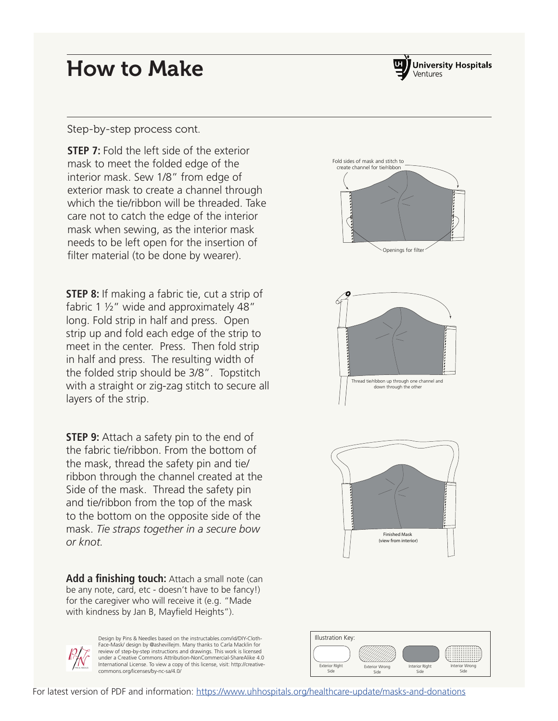### How to Make



#### Step-by-step process cont.

**STEP 7:** Fold the left side of the exterior mask to meet the folded edge of the interior mask. Sew 1/8" from edge of exterior mask to create a channel through which the tie/ribbon will be threaded. Take care not to catch the edge of the interior mask when sewing, as the interior mask needs to be left open for the insertion of filter material (to be done by wearer).

**STEP 8:** If making a fabric tie, cut a strip of fabric 1 ½" wide and approximately 48" long. Fold strip in half and press. Open strip up and fold each edge of the strip to meet in the center. Press. Then fold strip in half and press. The resulting width of the folded strip should be 3/8". Topstitch with a straight or zig-zag stitch to secure all layers of the strip.

**STEP 9:** Attach a safety pin to the end of the fabric tie/ribbon. From the bottom of the mask, thread the safety pin and tie/ ribbon through the channel created at the Side of the mask. Thread the safety pin and tie/ribbon from the top of the mask to the bottom on the opposite side of the mask. *Tie straps together in a secure bow or knot.*

**Add a finishing touch:** Attach a small note (can be any note, card, etc - doesn't have to be fancy!) for the caregiver who will receive it (e.g. "Made with kindness by Jan B, Mayfield Heights").



Design by Pins & Needles based on the instructables.com/id/DIY-Cloth-Face-Mask/ design by @ashevillejm. Many thanks to Carla Macklin for review of step-by-step instructions and drawings. This work is licensed under a Creative Commons Attribution-NonCommercial-ShareAlike 4.0 International License. To view a copy of this license, visit: http://creative-commons.org/licenses/by-nc-sa/4.0/